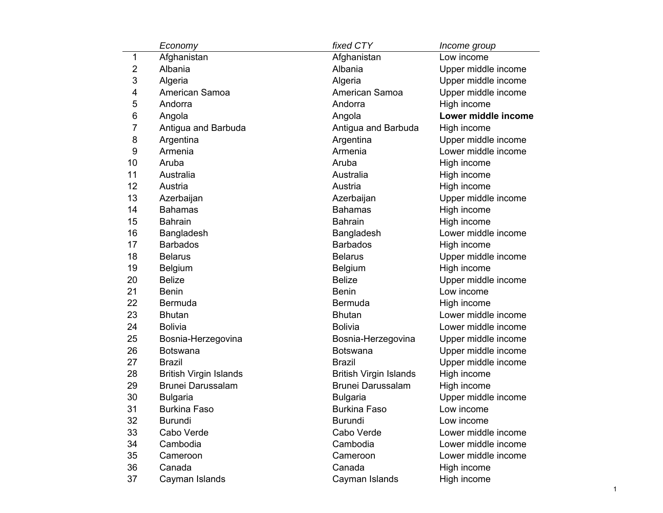|                | Economy                       | fixed CTY                     | Income group        |
|----------------|-------------------------------|-------------------------------|---------------------|
| 1              | Afghanistan                   | Afghanistan                   | Low income          |
| $\overline{2}$ | Albania                       | Albania                       | Upper middle income |
| 3              | Algeria                       | Algeria                       | Upper middle income |
| 4              | American Samoa                | American Samoa                | Upper middle income |
| 5              | Andorra                       | Andorra                       | High income         |
| 6              | Angola                        | Angola                        | Lower middle income |
| 7              | Antigua and Barbuda           | Antigua and Barbuda           | High income         |
| 8              | Argentina                     | Argentina                     | Upper middle income |
| 9              | Armenia                       | Armenia                       | Lower middle income |
| 10             | Aruba                         | Aruba                         | High income         |
| 11             | Australia                     | Australia                     | High income         |
| 12             | Austria                       | Austria                       | High income         |
| 13             | Azerbaijan                    | Azerbaijan                    | Upper middle income |
| 14             | <b>Bahamas</b>                | <b>Bahamas</b>                | High income         |
| 15             | <b>Bahrain</b>                | <b>Bahrain</b>                | High income         |
| 16             | Bangladesh                    | Bangladesh                    | Lower middle income |
| 17             | <b>Barbados</b>               | <b>Barbados</b>               | High income         |
| 18             | <b>Belarus</b>                | <b>Belarus</b>                | Upper middle income |
| 19             | <b>Belgium</b>                | Belgium                       | High income         |
| 20             | <b>Belize</b>                 | <b>Belize</b>                 | Upper middle income |
| 21             | <b>Benin</b>                  | <b>Benin</b>                  | Low income          |
| 22             | <b>Bermuda</b>                | <b>Bermuda</b>                | High income         |
| 23             | <b>Bhutan</b>                 | <b>Bhutan</b>                 | Lower middle income |
| 24             | <b>Bolivia</b>                | <b>Bolivia</b>                | Lower middle income |
| 25             | Bosnia-Herzegovina            | Bosnia-Herzegovina            | Upper middle income |
| 26             | <b>Botswana</b>               | <b>Botswana</b>               | Upper middle income |
| 27             | Brazil                        | <b>Brazil</b>                 | Upper middle income |
| 28             | <b>British Virgin Islands</b> | <b>British Virgin Islands</b> | High income         |
| 29             | <b>Brunei Darussalam</b>      | <b>Brunei Darussalam</b>      | High income         |
| 30             | <b>Bulgaria</b>               | <b>Bulgaria</b>               | Upper middle income |
| 31             | <b>Burkina Faso</b>           | <b>Burkina Faso</b>           | Low income          |
| 32             | <b>Burundi</b>                | <b>Burundi</b>                | Low income          |
| 33             | Cabo Verde                    | Cabo Verde                    | Lower middle income |
| 34             | Cambodia                      | Cambodia                      | Lower middle income |
| 35             | Cameroon                      | Cameroon                      | Lower middle income |
| 36             | Canada                        | Canada                        | High income         |
| 37             | Cayman Islands                | Cayman Islands                | High income         |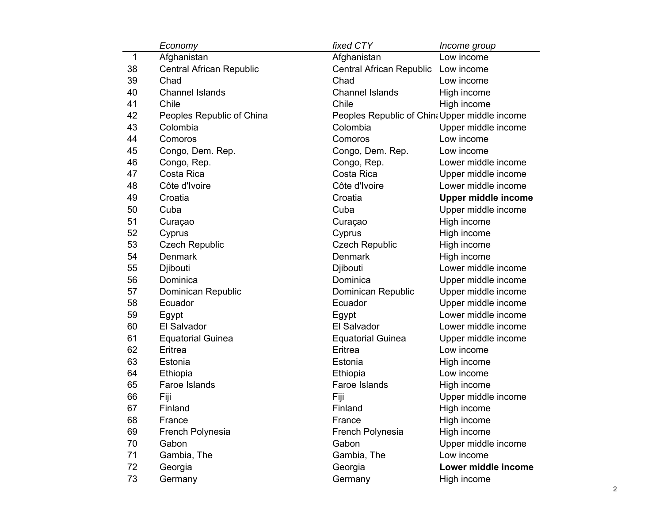|    | Economy                         | fixed CTY                                     | Income group               |
|----|---------------------------------|-----------------------------------------------|----------------------------|
| 1  | Afghanistan                     | Afghanistan                                   | Low income                 |
| 38 | <b>Central African Republic</b> | Central African Republic Low income           |                            |
| 39 | Chad                            | Chad                                          | Low income                 |
| 40 | <b>Channel Islands</b>          | <b>Channel Islands</b>                        | High income                |
| 41 | Chile                           | Chile                                         | High income                |
| 42 | Peoples Republic of China       | Peoples Republic of China Upper middle income |                            |
| 43 | Colombia                        | Colombia                                      | Upper middle income        |
| 44 | Comoros                         | Comoros                                       | Low income                 |
| 45 | Congo, Dem. Rep.                | Congo, Dem. Rep.                              | Low income                 |
| 46 | Congo, Rep.                     | Congo, Rep.                                   | Lower middle income        |
| 47 | Costa Rica                      | Costa Rica                                    | Upper middle income        |
| 48 | Côte d'Ivoire                   | Côte d'Ivoire                                 | Lower middle income        |
| 49 | Croatia                         | Croatia                                       | <b>Upper middle income</b> |
| 50 | Cuba                            | Cuba                                          | Upper middle income        |
| 51 | Curaçao                         | Curaçao                                       | High income                |
| 52 | Cyprus                          | Cyprus                                        | High income                |
| 53 | <b>Czech Republic</b>           | <b>Czech Republic</b>                         | High income                |
| 54 | <b>Denmark</b>                  | <b>Denmark</b>                                | High income                |
| 55 | Djibouti                        | Djibouti                                      | Lower middle income        |
| 56 | Dominica                        | Dominica                                      | Upper middle income        |
| 57 | Dominican Republic              | Dominican Republic                            | Upper middle income        |
| 58 | Ecuador                         | Ecuador                                       | Upper middle income        |
| 59 | Egypt                           | Egypt                                         | Lower middle income        |
| 60 | El Salvador                     | El Salvador                                   | Lower middle income        |
| 61 | <b>Equatorial Guinea</b>        | <b>Equatorial Guinea</b>                      | Upper middle income        |
| 62 | Eritrea                         | Eritrea                                       | Low income                 |
| 63 | Estonia                         | Estonia                                       | High income                |
| 64 | Ethiopia                        | Ethiopia                                      | Low income                 |
| 65 | Faroe Islands                   | Faroe Islands                                 | High income                |
| 66 | Fiji                            | Fiji                                          | Upper middle income        |
| 67 | Finland                         | Finland                                       | High income                |
| 68 | France                          | France                                        | High income                |
| 69 | French Polynesia                | French Polynesia                              | High income                |
| 70 | Gabon                           | Gabon                                         | Upper middle income        |
| 71 | Gambia, The                     | Gambia, The                                   | Low income                 |
| 72 | Georgia                         | Georgia                                       | Lower middle income        |
| 73 | Germany                         | Germany                                       | High income                |
|    |                                 |                                               |                            |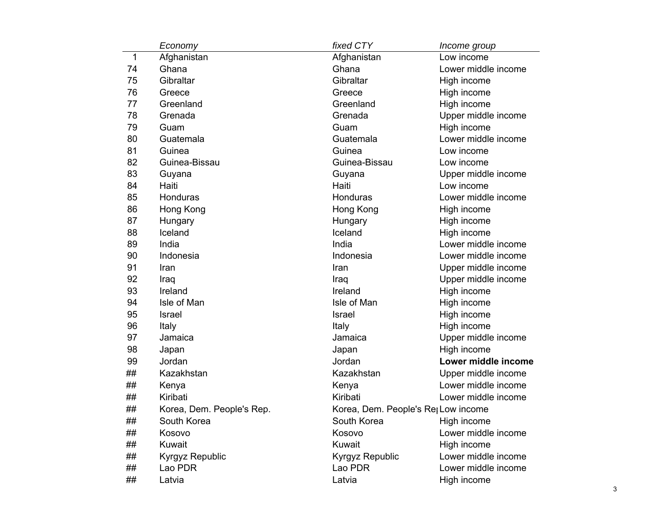|    | Economy                   | fixed CTY                                       | Income group        |
|----|---------------------------|-------------------------------------------------|---------------------|
| 1  | Afghanistan               | Afghanistan                                     | Low income          |
| 74 | Ghana                     | Ghana                                           | Lower middle income |
| 75 | Gibraltar                 | Gibraltar                                       | High income         |
| 76 | Greece                    | Greece                                          | High income         |
| 77 | Greenland                 | Greenland                                       | High income         |
| 78 | Grenada                   | Grenada                                         | Upper middle income |
| 79 | Guam                      | Guam                                            | High income         |
| 80 | Guatemala                 | Guatemala                                       | Lower middle income |
| 81 | Guinea                    | Guinea                                          | Low income          |
| 82 | Guinea-Bissau             | Guinea-Bissau                                   | Low income          |
| 83 | Guyana                    | Guyana                                          | Upper middle income |
| 84 | Haiti                     | Haiti                                           | Low income          |
| 85 | Honduras                  | Honduras                                        | Lower middle income |
| 86 | Hong Kong                 | Hong Kong                                       | High income         |
| 87 | Hungary                   | Hungary                                         | High income         |
| 88 | Iceland                   | Iceland                                         | High income         |
| 89 | India                     | India                                           | Lower middle income |
| 90 | Indonesia                 | Indonesia                                       | Lower middle income |
| 91 | Iran                      | Iran                                            | Upper middle income |
| 92 | Iraq                      | Iraq                                            | Upper middle income |
| 93 | Ireland                   | Ireland                                         | High income         |
| 94 | Isle of Man               | Isle of Man                                     | High income         |
| 95 | Israel                    | <b>Israel</b>                                   | High income         |
| 96 | Italy                     | Italy                                           | High income         |
| 97 | Jamaica                   | Jamaica                                         | Upper middle income |
| 98 | Japan                     | Japan                                           | High income         |
| 99 | Jordan                    | Jordan                                          | Lower middle income |
| ## | Kazakhstan                | Kazakhstan                                      | Upper middle income |
| ## | Kenya                     | Kenya                                           | Lower middle income |
| ## | Kiribati                  | Kiribati                                        | Lower middle income |
| ## | Korea, Dem. People's Rep. | Korea, Dem. People's Re <sub>l</sub> Low income |                     |
| ## | South Korea               | South Korea                                     | High income         |
| ## | Kosovo                    | Kosovo                                          | Lower middle income |
| ## | Kuwait                    | Kuwait                                          | High income         |
| ## | Kyrgyz Republic           | <b>Kyrgyz Republic</b>                          | Lower middle income |
| ## | Lao PDR                   | Lao PDR                                         | Lower middle income |
| ## | Latvia                    | Latvia                                          | High income         |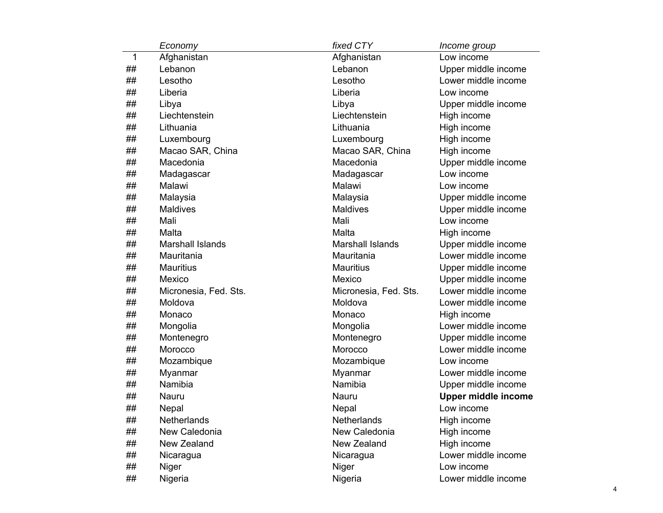|    | Economy                 | fixed CTY               | Income group               |
|----|-------------------------|-------------------------|----------------------------|
| 1  | Afghanistan             | Afghanistan             | Low income                 |
| ## | Lebanon                 | Lebanon                 | Upper middle income        |
| ## | Lesotho                 | Lesotho                 | Lower middle income        |
| ## | Liberia                 | Liberia                 | Low income                 |
| ## | Libya                   | Libya                   | Upper middle income        |
| ## | Liechtenstein           | Liechtenstein           | High income                |
| ## | Lithuania               | Lithuania               | High income                |
| ## | Luxembourg              | Luxembourg              | High income                |
| ## | Macao SAR, China        | Macao SAR, China        | High income                |
| ## | Macedonia               | Macedonia               | Upper middle income        |
| ## | Madagascar              | Madagascar              | Low income                 |
| ## | Malawi                  | Malawi                  | Low income                 |
| ## | Malaysia                | Malaysia                | Upper middle income        |
| ## | <b>Maldives</b>         | <b>Maldives</b>         | Upper middle income        |
| ## | Mali                    | Mali                    | Low income                 |
| ## | Malta                   | Malta                   | High income                |
| ## | <b>Marshall Islands</b> | <b>Marshall Islands</b> | Upper middle income        |
| ## | Mauritania              | Mauritania              | Lower middle income        |
| ## | <b>Mauritius</b>        | <b>Mauritius</b>        | Upper middle income        |
| ## | Mexico                  | Mexico                  | Upper middle income        |
| ## | Micronesia, Fed. Sts.   | Micronesia, Fed. Sts.   | Lower middle income        |
| ## | Moldova                 | Moldova                 | Lower middle income        |
| ## | Monaco                  | Monaco                  | High income                |
| ## | Mongolia                | Mongolia                | Lower middle income        |
| ## | Montenegro              | Montenegro              | Upper middle income        |
| ## | Morocco                 | Morocco                 | Lower middle income        |
| ## | Mozambique              | Mozambique              | Low income                 |
| ## | Myanmar                 | Myanmar                 | Lower middle income        |
| ## | Namibia                 | Namibia                 | Upper middle income        |
| ## | Nauru                   | <b>Nauru</b>            | <b>Upper middle income</b> |
| ## | Nepal                   | Nepal                   | Low income                 |
| ## | Netherlands             | Netherlands             | High income                |
| ## | New Caledonia           | New Caledonia           | High income                |
| ## | New Zealand             | New Zealand             | High income                |
| ## | Nicaragua               | Nicaragua               | Lower middle income        |
| ## | Niger                   | Niger                   | Low income                 |
| ## | Nigeria                 | Nigeria                 | Lower middle income        |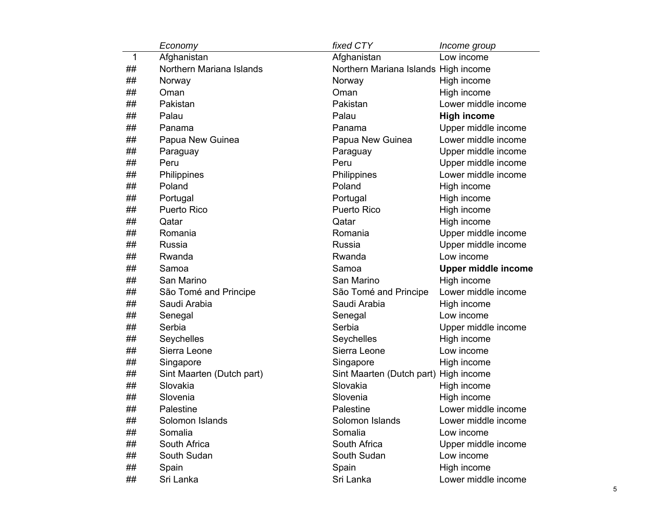|             | Economy                   | fixed CTY                            | Income group               |
|-------------|---------------------------|--------------------------------------|----------------------------|
| $\mathbf 1$ | Afghanistan               | Afghanistan                          | Low income                 |
| ##          | Northern Mariana Islands  | Northern Mariana Islands High income |                            |
| ##          | Norway                    | Norway                               | High income                |
| ##          | Oman                      | Oman                                 | High income                |
| ##          | Pakistan                  | Pakistan                             | Lower middle income        |
| ##          | Palau                     | Palau                                | <b>High income</b>         |
| ##          | Panama                    | Panama                               | Upper middle income        |
| ##          | Papua New Guinea          | Papua New Guinea                     | Lower middle income        |
| ##          | Paraguay                  | Paraguay                             | Upper middle income        |
| ##          | Peru                      | Peru                                 | Upper middle income        |
| ##          | Philippines               | Philippines                          | Lower middle income        |
| ##          | Poland                    | Poland                               | High income                |
| ##          | Portugal                  | Portugal                             | High income                |
| ##          | <b>Puerto Rico</b>        | <b>Puerto Rico</b>                   | High income                |
| ##          | Qatar                     | Qatar                                | High income                |
| ##          | Romania                   | Romania                              | Upper middle income        |
| ##          | Russia                    | Russia                               | Upper middle income        |
| ##          | Rwanda                    | Rwanda                               | Low income                 |
| ##          | Samoa                     | Samoa                                | <b>Upper middle income</b> |
| ##          | San Marino                | San Marino                           | High income                |
| ##          | São Tomé and Principe     | São Tomé and Principe                | Lower middle income        |
| ##          | Saudi Arabia              | Saudi Arabia                         | High income                |
| ##          | Senegal                   | Senegal                              | Low income                 |
| ##          | Serbia                    | Serbia                               | Upper middle income        |
| ##          | Seychelles                | Seychelles                           | High income                |
| ##          | Sierra Leone              | Sierra Leone                         | Low income                 |
| ##          | Singapore                 | Singapore                            | High income                |
| ##          | Sint Maarten (Dutch part) | Sint Maarten (Dutch part)            | High income                |
| ##          | Slovakia                  | Slovakia                             | High income                |
| ##          | Slovenia                  | Slovenia                             | High income                |
| ##          | Palestine                 | Palestine                            | Lower middle income        |
| ##          | Solomon Islands           | Solomon Islands                      | Lower middle income        |
| ##          | Somalia                   | Somalia                              | Low income                 |
| ##          | South Africa              | South Africa                         | Upper middle income        |
| ##          | South Sudan               | South Sudan                          | Low income                 |
| ##          | Spain                     | Spain                                | High income                |
|             |                           |                                      |                            |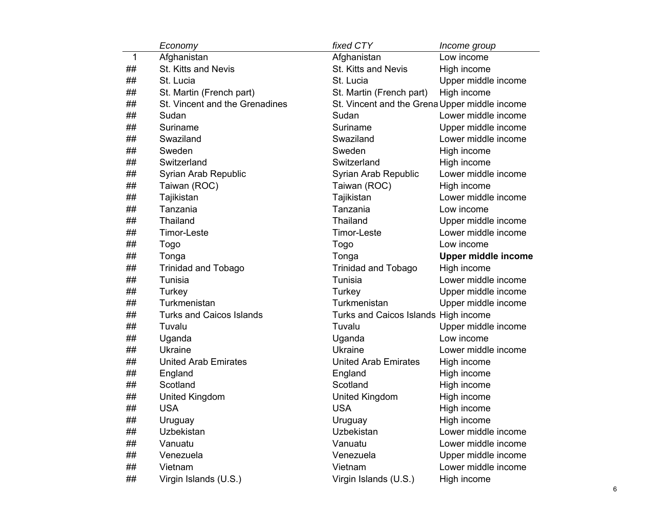|    | Economy                         | fixed CTY                                     | Income group               |
|----|---------------------------------|-----------------------------------------------|----------------------------|
| 1  | Afghanistan                     | Afghanistan                                   | Low income                 |
| ## | <b>St. Kitts and Nevis</b>      | St. Kitts and Nevis                           | High income                |
| ## | St. Lucia                       | St. Lucia                                     | Upper middle income        |
| ## | St. Martin (French part)        | St. Martin (French part)                      | High income                |
| ## | St. Vincent and the Grenadines  | St. Vincent and the Grena Upper middle income |                            |
| ## | Sudan                           | Sudan                                         | Lower middle income        |
| ## | Suriname                        | Suriname                                      | Upper middle income        |
| ## | Swaziland                       | Swaziland                                     | Lower middle income        |
| ## | Sweden                          | Sweden                                        | High income                |
| ## | Switzerland                     | Switzerland                                   | High income                |
| ## | Syrian Arab Republic            | Syrian Arab Republic                          | Lower middle income        |
| ## | Taiwan (ROC)                    | Taiwan (ROC)                                  | High income                |
| ## | Tajikistan                      | Tajikistan                                    | Lower middle income        |
| ## | Tanzania                        | Tanzania                                      | Low income                 |
| ## | Thailand                        | <b>Thailand</b>                               | Upper middle income        |
| ## | <b>Timor-Leste</b>              | <b>Timor-Leste</b>                            | Lower middle income        |
| ## | Togo                            | Togo                                          | Low income                 |
| ## | Tonga                           | Tonga                                         | <b>Upper middle income</b> |
| ## | <b>Trinidad and Tobago</b>      | <b>Trinidad and Tobago</b>                    | High income                |
| ## | Tunisia                         | Tunisia                                       | Lower middle income        |
| ## | Turkey                          | Turkey                                        | Upper middle income        |
| ## | Turkmenistan                    | Turkmenistan                                  | Upper middle income        |
| ## | <b>Turks and Caicos Islands</b> | Turks and Caicos Islands High income          |                            |
| ## | Tuvalu                          | Tuvalu                                        | Upper middle income        |
| ## | Uganda                          | Uganda                                        | Low income                 |
| ## | <b>Ukraine</b>                  | <b>Ukraine</b>                                | Lower middle income        |
| ## | <b>United Arab Emirates</b>     | <b>United Arab Emirates</b>                   | High income                |
| ## | England                         | England                                       | High income                |
| ## | Scotland                        | Scotland                                      | High income                |
| ## | <b>United Kingdom</b>           | <b>United Kingdom</b>                         | High income                |
| ## | <b>USA</b>                      | <b>USA</b>                                    | High income                |
| ## | Uruguay                         | Uruguay                                       | High income                |
| ## | Uzbekistan                      | Uzbekistan                                    | Lower middle income        |
| ## | Vanuatu                         | Vanuatu                                       | Lower middle income        |
| ## | Venezuela                       | Venezuela                                     | Upper middle income        |
| ## | Vietnam                         | Vietnam                                       | Lower middle income        |
| ## | Virgin Islands (U.S.)           | Virgin Islands (U.S.)                         | High income                |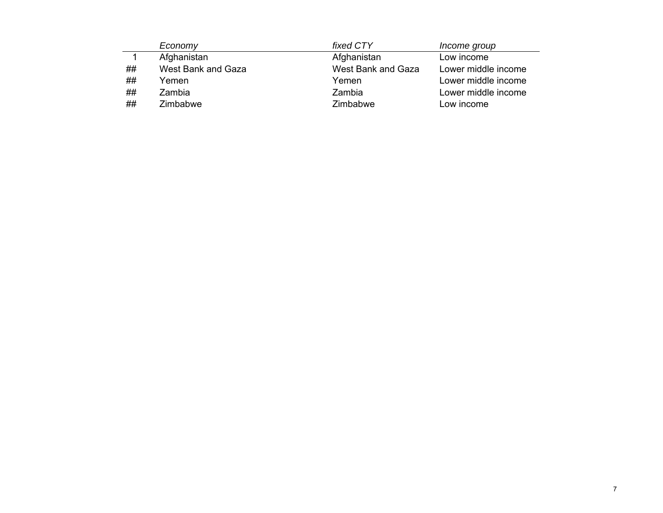|    | Economy            | fixed CTY          | Income group        |
|----|--------------------|--------------------|---------------------|
|    | Afghanistan        | Afghanistan        | Low income          |
| ## | West Bank and Gaza | West Bank and Gaza | Lower middle income |
| ## | Yemen              | Yemen              | Lower middle income |
| ## | Zambia             | Zambia             | Lower middle income |
| ## | Zimbabwe           | Zimbabwe           | Low income          |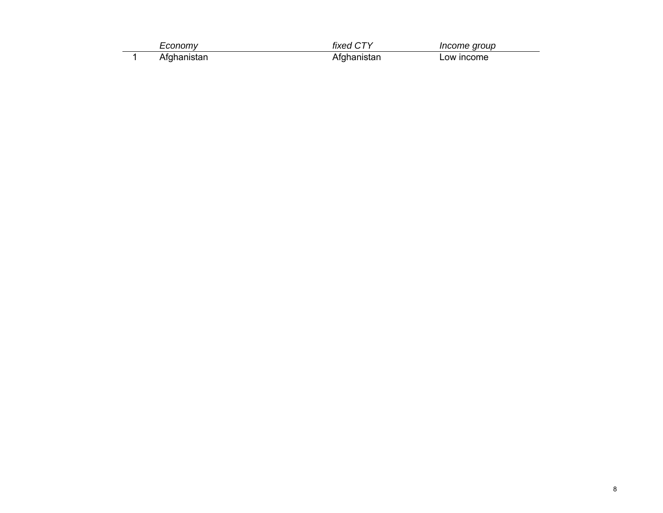| onnmu | ivad    | Income group |
|-------|---------|--------------|
| .     | ------- | ∟ow income   |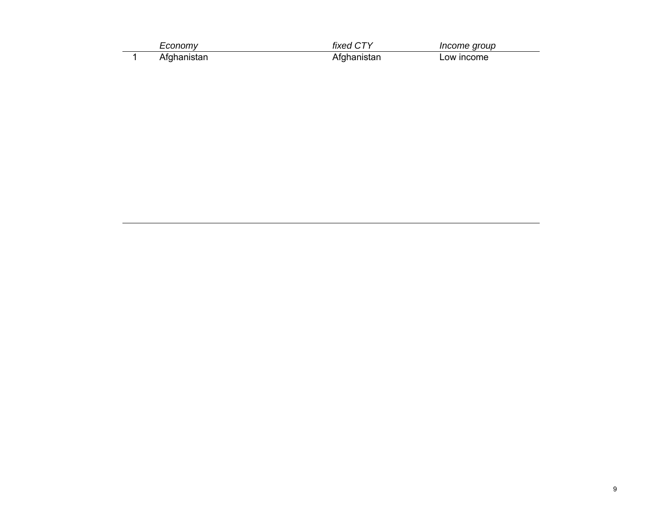| רווסוזי "   | fixed CTY | Income group |
|-------------|-----------|--------------|
| ∖tɑhanistan | uistar    | _ow income   |